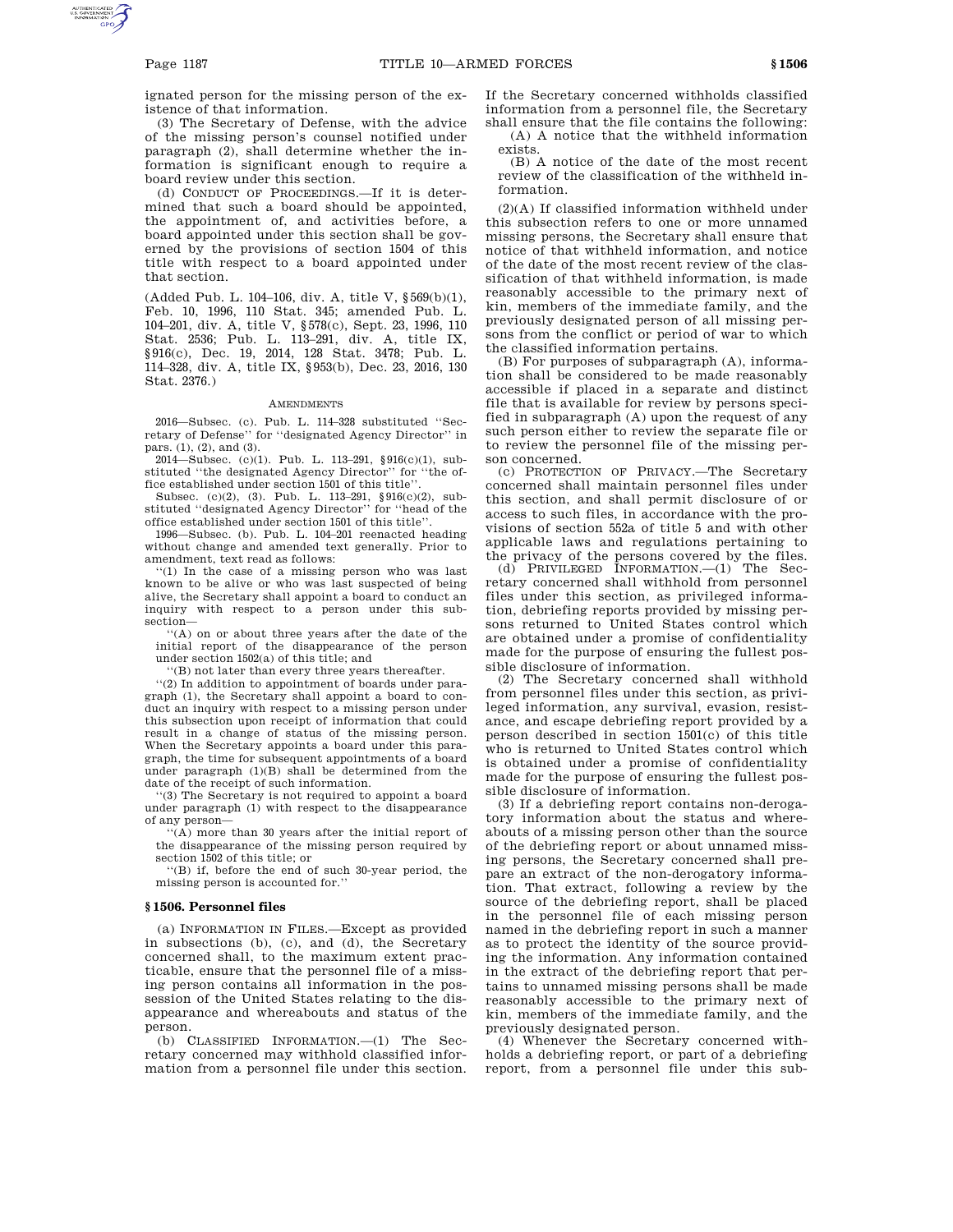ignated person for the missing person of the existence of that information.

(3) The Secretary of Defense, with the advice of the missing person's counsel notified under paragraph (2), shall determine whether the information is significant enough to require a board review under this section.

(d) CONDUCT OF PROCEEDINGS.—If it is determined that such a board should be appointed, the appointment of, and activities before, a board appointed under this section shall be governed by the provisions of section 1504 of this title with respect to a board appointed under that section.

(Added Pub. L. 104–106, div. A, title V, §569(b)(1), Feb. 10, 1996, 110 Stat. 345; amended Pub. L. 104–201, div. A, title V, §578(c), Sept. 23, 1996, 110 Stat. 2536; Pub. L. 113–291, div. A, title IX, §916(c), Dec. 19, 2014, 128 Stat. 3478; Pub. L. 114–328, div. A, title IX, §953(b), Dec. 23, 2016, 130 Stat. 2376.)

## **AMENDMENTS**

2016—Subsec. (c). Pub. L. 114–328 substituted ''Secretary of Defense'' for ''designated Agency Director'' in pars. (1), (2), and (3).

2014—Subsec. (c)(1). Pub. L. 113–291, §916(c)(1), substituted ''the designated Agency Director'' for ''the office established under section 1501 of this title'

Subsec. (c)(2), (3). Pub. L. 113–291, §916(c)(2), substituted ''designated Agency Director'' for ''head of the office established under section 1501 of this title''.

1996—Subsec. (b). Pub. L. 104–201 reenacted heading without change and amended text generally. Prior to amendment, text read as follows:

''(1) In the case of a missing person who was last known to be alive or who was last suspected of being alive, the Secretary shall appoint a board to conduct an inquiry with respect to a person under this subsection—

''(A) on or about three years after the date of the initial report of the disappearance of the person under section 1502(a) of this title; and

''(B) not later than every three years thereafter.

''(2) In addition to appointment of boards under paragraph (1), the Secretary shall appoint a board to conduct an inquiry with respect to a missing person under this subsection upon receipt of information that could result in a change of status of the missing person. When the Secretary appoints a board under this paragraph, the time for subsequent appointments of a board under paragraph (1)(B) shall be determined from the date of the receipt of such information.

''(3) The Secretary is not required to appoint a board under paragraph (1) with respect to the disappearance of any person—

''(A) more than 30 years after the initial report of the disappearance of the missing person required by section 1502 of this title; or

''(B) if, before the end of such 30-year period, the missing person is accounted for.''

## **§ 1506. Personnel files**

(a) INFORMATION IN FILES.—Except as provided in subsections (b), (c), and (d), the Secretary concerned shall, to the maximum extent practicable, ensure that the personnel file of a missing person contains all information in the possession of the United States relating to the disappearance and whereabouts and status of the person.

(b) CLASSIFIED INFORMATION.—(1) The Secretary concerned may withhold classified information from a personnel file under this section. If the Secretary concerned withholds classified information from a personnel file, the Secretary shall ensure that the file contains the following:

(A) A notice that the withheld information exists.

(B) A notice of the date of the most recent review of the classification of the withheld information.

(2)(A) If classified information withheld under this subsection refers to one or more unnamed missing persons, the Secretary shall ensure that notice of that withheld information, and notice of the date of the most recent review of the classification of that withheld information, is made reasonably accessible to the primary next of kin, members of the immediate family, and the previously designated person of all missing persons from the conflict or period of war to which the classified information pertains.

(B) For purposes of subparagraph (A), information shall be considered to be made reasonably accessible if placed in a separate and distinct file that is available for review by persons specified in subparagraph (A) upon the request of any such person either to review the separate file or to review the personnel file of the missing person concerned.

(c) PROTECTION OF PRIVACY.—The Secretary concerned shall maintain personnel files under this section, and shall permit disclosure of or access to such files, in accordance with the provisions of section 552a of title 5 and with other applicable laws and regulations pertaining to the privacy of the persons covered by the files.

(d) PRIVILEGED INFORMATION.—(1) The Secretary concerned shall withhold from personnel files under this section, as privileged information, debriefing reports provided by missing persons returned to United States control which are obtained under a promise of confidentiality made for the purpose of ensuring the fullest possible disclosure of information.

(2) The Secretary concerned shall withhold from personnel files under this section, as privileged information, any survival, evasion, resistance, and escape debriefing report provided by a person described in section 1501(c) of this title who is returned to United States control which is obtained under a promise of confidentiality made for the purpose of ensuring the fullest possible disclosure of information.

(3) If a debriefing report contains non-derogatory information about the status and whereabouts of a missing person other than the source of the debriefing report or about unnamed missing persons, the Secretary concerned shall prepare an extract of the non-derogatory information. That extract, following a review by the source of the debriefing report, shall be placed in the personnel file of each missing person named in the debriefing report in such a manner as to protect the identity of the source providing the information. Any information contained in the extract of the debriefing report that pertains to unnamed missing persons shall be made reasonably accessible to the primary next of kin, members of the immediate family, and the previously designated person.

(4) Whenever the Secretary concerned withholds a debriefing report, or part of a debriefing report, from a personnel file under this sub